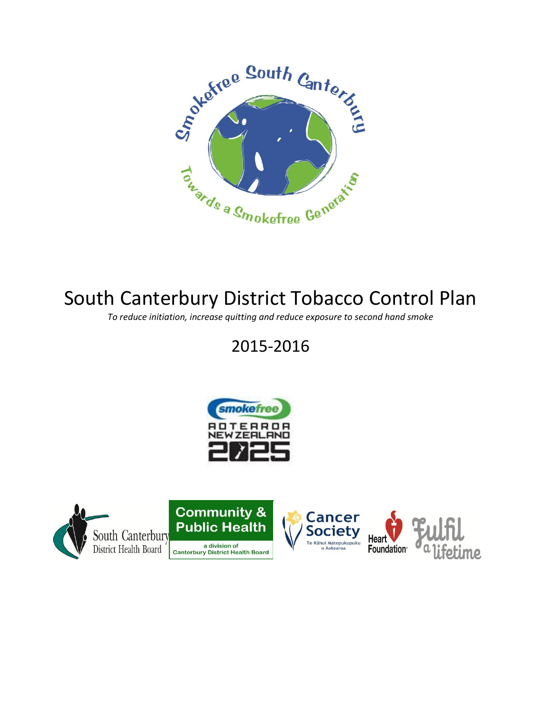

# South Canterbury District Tobacco Control Plan

*To reduce initiation, increase quitting and reduce exposure to second hand smoke*

## 2015-2016



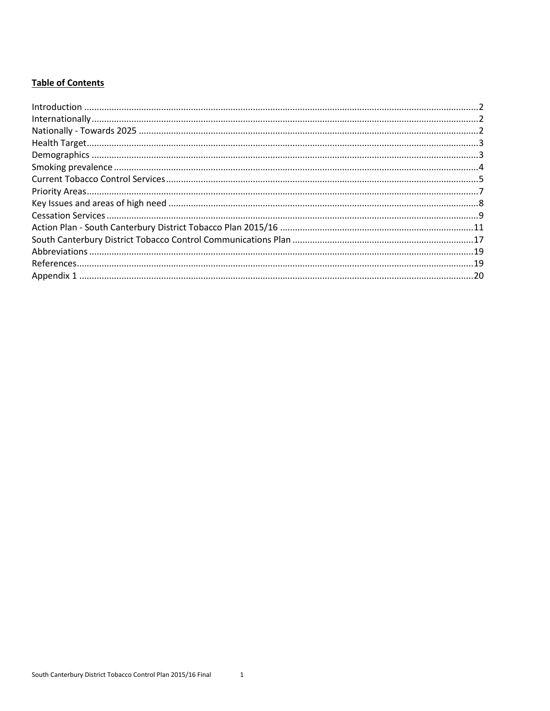#### **Table of Contents**

| $\label{lem:1} \mbox{Introduction} \,\, \ldots \,\, \ldots \,\, \ldots \,\, \ldots \,\, \ldots \,\, \ldots \,\, \ldots \,\, \ldots \,\, \ldots \,\, \ldots \,\, \ldots \,\, \ldots \,\, \ldots \,\, \ldots \,\, \ldots \,\, \ldots \,\, \ldots \,\, \ldots \,\, \ldots \,\, \ldots \,\, \ldots \,\, \ldots \,\, \ldots \,\, \ldots \,\, \ldots \,\, \ldots \,\, \ldots \,\, \ldots \,\, \ldots \,\, \ldots \,\, \ldots \,\, \ldots \,\, \ldots \,\, \ldots \,\,$ |  |
|------------------------------------------------------------------------------------------------------------------------------------------------------------------------------------------------------------------------------------------------------------------------------------------------------------------------------------------------------------------------------------------------------------------------------------------------------------------|--|
|                                                                                                                                                                                                                                                                                                                                                                                                                                                                  |  |
|                                                                                                                                                                                                                                                                                                                                                                                                                                                                  |  |
|                                                                                                                                                                                                                                                                                                                                                                                                                                                                  |  |
|                                                                                                                                                                                                                                                                                                                                                                                                                                                                  |  |
|                                                                                                                                                                                                                                                                                                                                                                                                                                                                  |  |
|                                                                                                                                                                                                                                                                                                                                                                                                                                                                  |  |
|                                                                                                                                                                                                                                                                                                                                                                                                                                                                  |  |
|                                                                                                                                                                                                                                                                                                                                                                                                                                                                  |  |
|                                                                                                                                                                                                                                                                                                                                                                                                                                                                  |  |
|                                                                                                                                                                                                                                                                                                                                                                                                                                                                  |  |
|                                                                                                                                                                                                                                                                                                                                                                                                                                                                  |  |
|                                                                                                                                                                                                                                                                                                                                                                                                                                                                  |  |
|                                                                                                                                                                                                                                                                                                                                                                                                                                                                  |  |
|                                                                                                                                                                                                                                                                                                                                                                                                                                                                  |  |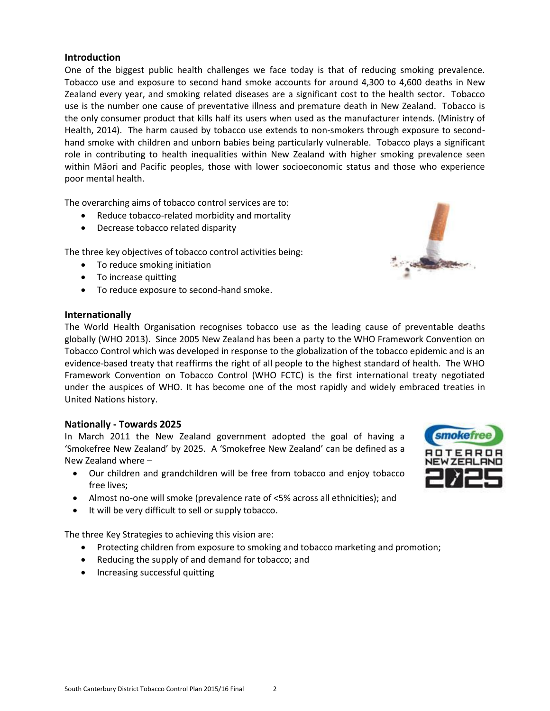#### <span id="page-2-0"></span>**Introduction**

One of the biggest public health challenges we face today is that of reducing smoking prevalence. Tobacco use and exposure to second hand smoke accounts for around 4,300 to 4,600 deaths in New Zealand every year, and smoking related diseases are a significant cost to the health sector. Tobacco use is the number one cause of preventative illness and premature death in New Zealand. Tobacco is the only consumer product that kills half its users when used as the manufacturer intends. (Ministry of Health, 2014). The harm caused by tobacco use extends to non-smokers through exposure to secondhand smoke with children and unborn babies being particularly vulnerable. Tobacco plays a significant role in contributing to health inequalities within New Zealand with higher smoking prevalence seen within Māori and Pacific peoples, those with lower socioeconomic status and those who experience poor mental health.

The overarching aims of tobacco control services are to:

- Reduce tobacco-related morbidity and mortality
- Decrease tobacco related disparity

The three key objectives of tobacco control activities being:

- To reduce smoking initiation
- To increase quitting
- To reduce exposure to second-hand smoke.

#### <span id="page-2-1"></span>**Internationally**

The World Health Organisation recognises tobacco use as the leading cause of preventable deaths globally (WHO 2013). Since 2005 New Zealand has been a party to the WHO Framework Convention on Tobacco Control which was developed in response to the globalization of the tobacco epidemic and is an evidence-based treaty that reaffirms the right of all people to the highest standard of health. The WHO Framework Convention on Tobacco Control (WHO FCTC) is the first international treaty negotiated under the auspices of WHO. It has become one of the most rapidly and widely embraced treaties in United Nations history.

#### <span id="page-2-2"></span>**Nationally - Towards 2025**

In March 2011 the New Zealand government adopted the goal of having a 'Smokefree New Zealand' by 2025. A 'Smokefree New Zealand' can be defined as a New Zealand where –

- Our children and grandchildren will be free from tobacco and enjoy tobacco free lives;
- Almost no-one will smoke (prevalence rate of <5% across all ethnicities); and
- It will be very difficult to sell or supply tobacco.

The three Key Strategies to achieving this vision are:

- Protecting children from exposure to smoking and tobacco marketing and promotion;
- Reducing the supply of and demand for tobacco; and
- Increasing successful quitting

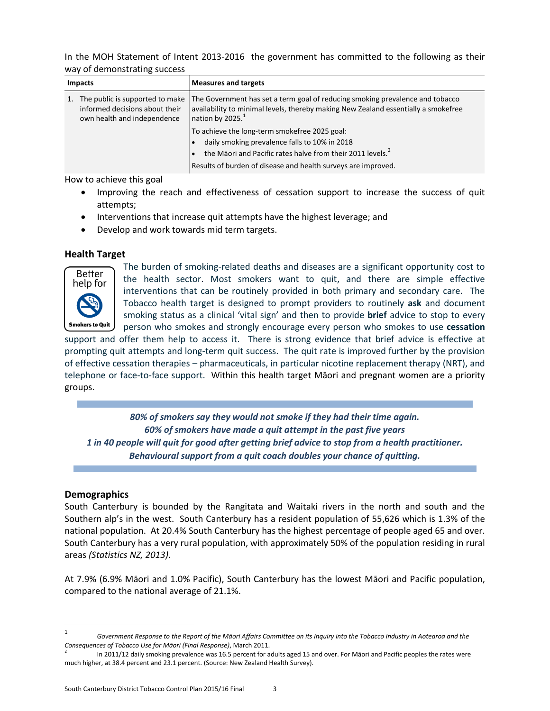In the MOH Statement of Intent 2013-2016 the government has committed to the following as their way of demonstrating success

|    | <b>Impacts</b>                                                                                   | <b>Measures and targets</b>                                                                                                                                                                                                               |
|----|--------------------------------------------------------------------------------------------------|-------------------------------------------------------------------------------------------------------------------------------------------------------------------------------------------------------------------------------------------|
| 1. | The public is supported to make<br>informed decisions about their<br>own health and independence | The Government has set a term goal of reducing smoking prevalence and tobacco<br>availability to minimal levels, thereby making New Zealand essentially a smokefree<br>nation by 2025. <sup>1</sup>                                       |
|    |                                                                                                  | To achieve the long-term smokefree 2025 goal:<br>daily smoking prevalence falls to 10% in 2018<br>the Māori and Pacific rates halve from their 2011 levels. <sup>2</sup><br>Results of burden of disease and health surveys are improved. |

How to achieve this goal

- Improving the reach and effectiveness of cessation support to increase the success of quit attempts;
- Interventions that increase quit attempts have the highest leverage; and
- Develop and work towards mid term targets.

#### <span id="page-3-0"></span>**Health Target**



The burden of smoking-related deaths and diseases are a significant opportunity cost to the health sector. Most smokers want to quit, and there are simple effective interventions that can be routinely provided in both primary and secondary care. The Tobacco health target is designed to prompt providers to routinely **ask** and document smoking status as a clinical 'vital sign' and then to provide **brief** advice to stop to every person who smokes and strongly encourage every person who smokes to use **cessation** 

support and offer them help to access it. There is strong evidence that brief advice is effective at prompting quit attempts and long-term quit success. The quit rate is improved further by the provision of effective cessation therapies – pharmaceuticals, in particular nicotine replacement therapy (NRT), and telephone or face-to-face support. Within this health target Māori and pregnant women are a priority groups.

*80% of smokers say they would not smoke if they had their time again. 60% of smokers have made a quit attempt in the past five years 1 in 40 people will quit for good after getting brief advice to stop from a health practitioner. Behavioural support from a quit coach doubles your chance of quitting.*

#### <span id="page-3-1"></span>**Demographics**

l

South Canterbury is bounded by the Rangitata and Waitaki rivers in the north and south and the Southern alp's in the west. South Canterbury has a resident population of 55,626 which is 1.3% of the national population. At 20.4% South Canterbury has the highest percentage of people aged 65 and over. South Canterbury has a very rural population, with approximately 50% of the population residing in rural areas *(Statistics NZ, 2013)*.

At 7.9% (6.9% Māori and 1.0% Pacific), South Canterbury has the lowest Māori and Pacific population, compared to the national average of 21.1%.

<sup>1</sup> *Government Response to the Report of the Māori Affairs Committee on its Inquiry into the Tobacco Industry in Aotearoa and the Consequences of Tobacco Use for Māori (Final Response)*, March 2011.

<sup>2</sup> In 2011/12 daily smoking prevalence was 16.5 percent for adults aged 15 and over. For Māori and Pacific peoples the rates were much higher, at 38.4 percent and 23.1 percent. (Source: New Zealand Health Survey).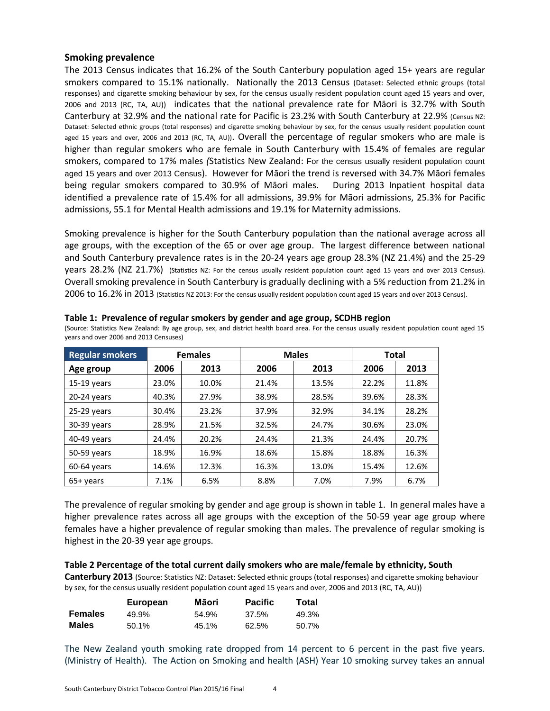#### <span id="page-4-0"></span>**Smoking prevalence**

The 2013 Census indicates that 16.2% of the South Canterbury population aged 15+ years are regular smokers compared to 15.1% nationally. Nationally the 2013 Census (Dataset: Selected ethnic groups (total responses) and cigarette smoking behaviour by sex, for the census usually resident population count aged 15 years and over, 2006 and 2013 (RC, TA, AU)) indicates that the national prevalence rate for Māori is 32.7% with South Canterbury at 32.9% and the national rate for Pacific is 23.2% with South Canterbury at 22.9% (Census NZ: Dataset: Selected ethnic groups (total responses) and cigarette smoking behaviour by sex, for the census usually resident population count aged 15 years and over, 2006 and 2013 (RC, TA, AU)). Overall the percentage of regular smokers who are male is higher than regular smokers who are female in South Canterbury with 15.4% of females are regular smokers, compared to 17% males *(*Statistics New Zealand: For the census usually resident population count aged 15 years and over 2013 Census). However for Māori the trend is reversed with 34.7% Māori females being regular smokers compared to 30.9% of Māori males. During 2013 Inpatient hospital data identified a prevalence rate of 15.4% for all admissions, 39.9% for Māori admissions, 25.3% for Pacific admissions, 55.1 for Mental Health admissions and 19.1% for Maternity admissions.

Smoking prevalence is higher for the South Canterbury population than the national average across all age groups, with the exception of the 65 or over age group. The largest difference between national and South Canterbury prevalence rates is in the 20-24 years age group 28.3% (NZ 21.4%) and the 25-29 years 28.2% (NZ 21.7%) (Statistics NZ: For the census usually resident population count aged 15 years and over 2013 Census). Overall smoking prevalence in South Canterbury is gradually declining with a 5% reduction from 21.2% in 2006 to 16.2% in 2013 (Statistics NZ 2013: For the census usually resident population count aged 15 years and over 2013 Census).

| <b>Regular smokers</b> |       | <b>Females</b> |       | <b>Males</b> | <b>Total</b> |       |
|------------------------|-------|----------------|-------|--------------|--------------|-------|
| Age group              | 2006  | 2013           | 2006  | 2013         | 2006         | 2013  |
| $15-19$ years          | 23.0% | 10.0%          | 21.4% | 13.5%        | 22.2%        | 11.8% |
| 20-24 years            | 40.3% | 27.9%          | 38.9% | 28.5%        | 39.6%        | 28.3% |
| 25-29 years            | 30.4% | 23.2%          | 37.9% | 32.9%        | 34.1%        | 28.2% |
| 30-39 years            | 28.9% | 21.5%          | 32.5% | 24.7%        | 30.6%        | 23.0% |
| 40-49 years            | 24.4% | 20.2%          | 24.4% | 21.3%        | 24.4%        | 20.7% |
| 50-59 years            | 18.9% | 16.9%          | 18.6% | 15.8%        | 18.8%        | 16.3% |
| $60-64$ years          | 14.6% | 12.3%          | 16.3% | 13.0%        | 15.4%        | 12.6% |
| $65+vears$             | 7.1%  | 6.5%           | 8.8%  | 7.0%         | 7.9%         | 6.7%  |

| Table 1: Prevalence of regular smokers by gender and age group, SCDHB region |  |  |  |  |
|------------------------------------------------------------------------------|--|--|--|--|
|------------------------------------------------------------------------------|--|--|--|--|

(Source: Statistics New Zealand: By age group, sex, and district health board area. For the census usually resident population count aged 15 years and over 2006 and 2013 Censuses)

The prevalence of regular smoking by gender and age group is shown in table 1. In general males have a higher prevalence rates across all age groups with the exception of the 50-59 year age group where females have a higher prevalence of regular smoking than males. The prevalence of regular smoking is highest in the 20-39 year age groups.

#### **Table 2 Percentage of the total current daily smokers who are male/female by ethnicity, South**

**Canterbury 2013** (Source: Statistics NZ: Dataset: Selected ethnic groups (total responses) and cigarette smoking behaviour by sex, for the census usually resident population count aged 15 years and over, 2006 and 2013 (RC, TA, AU))

|                | European | Māori | <b>Pacific</b> | Total |
|----------------|----------|-------|----------------|-------|
| <b>Females</b> | 49.9%    | 54.9% | 37.5%          | 49.3% |
| Males          | 50.1%    | 45.1% | 62.5%          | 50.7% |

The New Zealand youth smoking rate dropped from 14 percent to 6 percent in the past five years. (Ministry of Health). The Action on Smoking and health (ASH) Year 10 smoking survey takes an annual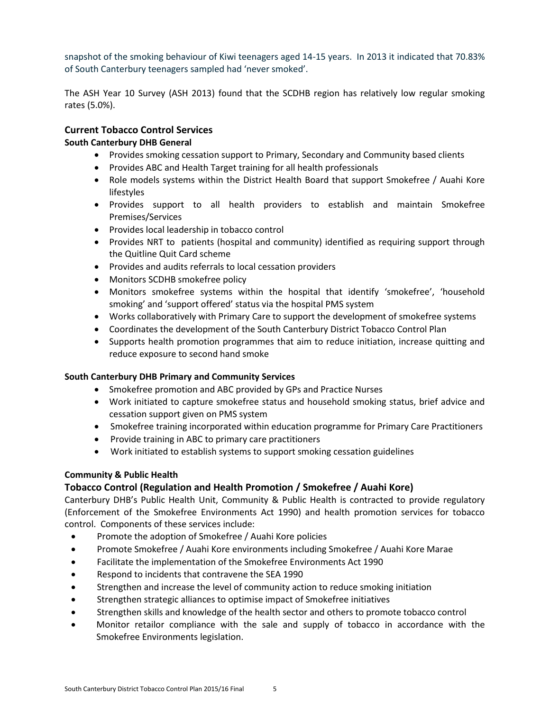snapshot of the smoking behaviour of Kiwi teenagers aged 14-15 years. In 2013 it indicated that 70.83% of South Canterbury teenagers sampled had 'never smoked'.

The ASH Year 10 Survey (ASH 2013) found that the SCDHB region has relatively low regular smoking rates (5.0%).

#### <span id="page-5-0"></span>**Current Tobacco Control Services**

#### **South Canterbury DHB General**

- Provides smoking cessation support to Primary, Secondary and Community based clients
- Provides ABC and Health Target training for all health professionals
- Role models systems within the District Health Board that support Smokefree / Auahi Kore lifestyles
- Provides support to all health providers to establish and maintain Smokefree Premises/Services
- Provides local leadership in tobacco control
- Provides NRT to patients (hospital and community) identified as requiring support through the Quitline Quit Card scheme
- Provides and audits referrals to local cessation providers
- Monitors SCDHB smokefree policy
- Monitors smokefree systems within the hospital that identify 'smokefree', 'household smoking' and 'support offered' status via the hospital PMS system
- Works collaboratively with Primary Care to support the development of smokefree systems
- Coordinates the development of the South Canterbury District Tobacco Control Plan
- Supports health promotion programmes that aim to reduce initiation, increase quitting and reduce exposure to second hand smoke

#### **South Canterbury DHB Primary and Community Services**

- Smokefree promotion and ABC provided by GPs and Practice Nurses
- Work initiated to capture smokefree status and household smoking status, brief advice and cessation support given on PMS system
- Smokefree training incorporated within education programme for Primary Care Practitioners
- Provide training in ABC to primary care practitioners
- Work initiated to establish systems to support smoking cessation guidelines

#### **Community & Public Health**

#### **Tobacco Control (Regulation and Health Promotion / Smokefree / Auahi Kore)**

Canterbury DHB's Public Health Unit, Community & Public Health is contracted to provide regulatory (Enforcement of the Smokefree Environments Act 1990) and health promotion services for tobacco control. Components of these services include:

- Promote the adoption of Smokefree / Auahi Kore policies
- Promote Smokefree / Auahi Kore environments including Smokefree / Auahi Kore Marae
- Facilitate the implementation of the Smokefree Environments Act 1990
- Respond to incidents that contravene the SEA 1990
- Strengthen and increase the level of community action to reduce smoking initiation
- Strengthen strategic alliances to optimise impact of Smokefree initiatives
- Strengthen skills and knowledge of the health sector and others to promote tobacco control
- Monitor retailor compliance with the sale and supply of tobacco in accordance with the Smokefree Environments legislation.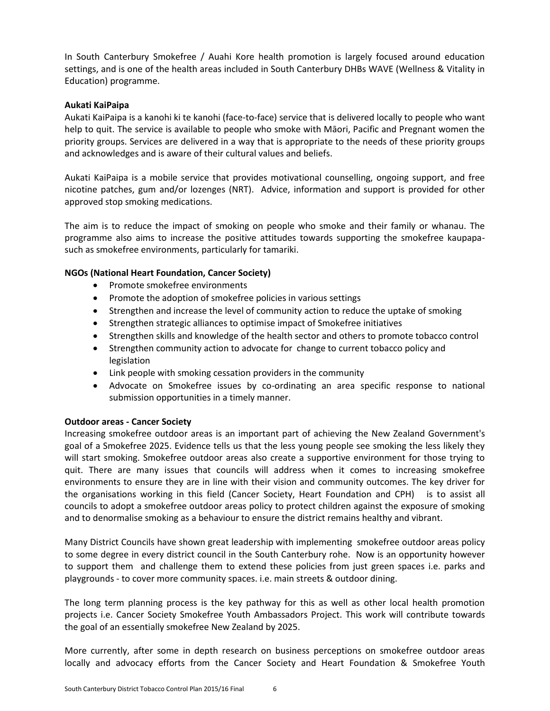In South Canterbury Smokefree / Auahi Kore health promotion is largely focused around education settings, and is one of the health areas included in South Canterbury DHBs WAVE (Wellness & Vitality in Education) programme.

#### **Aukati KaiPaipa**

Aukati KaiPaipa is a kanohi ki te kanohi (face-to-face) service that is delivered locally to people who want help to quit. The service is available to people who smoke with Māori, Pacific and Pregnant women the priority groups. Services are delivered in a way that is appropriate to the needs of these priority groups and acknowledges and is aware of their cultural values and beliefs.

Aukati KaiPaipa is a mobile service that provides motivational counselling, ongoing support, and free nicotine patches, gum and/or lozenges (NRT). Advice, information and support is provided for other approved stop smoking medications.

The aim is to reduce the impact of smoking on people who smoke and their family or whanau. The programme also aims to increase the positive attitudes towards supporting the smokefree kaupapasuch as smokefree environments, particularly for tamariki.

#### **NGOs (National Heart Foundation, Cancer Society)**

- Promote smokefree environments
- Promote the adoption of smokefree policies in various settings
- Strengthen and increase the level of community action to reduce the uptake of smoking
- Strengthen strategic alliances to optimise impact of Smokefree initiatives
- Strengthen skills and knowledge of the health sector and others to promote tobacco control
- Strengthen community action to advocate for change to current tobacco policy and legislation
- Link people with smoking cessation providers in the community
- Advocate on Smokefree issues by co-ordinating an area specific response to national submission opportunities in a timely manner.

#### **Outdoor areas - Cancer Society**

Increasing smokefree outdoor areas is an important part of achieving the New Zealand Government's goal of a Smokefree 2025. Evidence tells us that the less young people see smoking the less likely they will start smoking. Smokefree outdoor areas also create a supportive environment for those trying to quit. There are many issues that councils will address when it comes to increasing smokefree environments to ensure they are in line with their vision and community outcomes. The key driver for the organisations working in this field (Cancer Society, Heart Foundation and CPH) is to assist all councils to adopt a smokefree outdoor areas policy to protect children against the exposure of smoking and to denormalise smoking as a behaviour to ensure the district remains healthy and vibrant.

Many District Councils have shown great leadership with implementing smokefree outdoor areas policy to some degree in every district council in the South Canterbury rohe. Now is an opportunity however to support them and challenge them to extend these policies from just green spaces i.e. parks and playgrounds - to cover more community spaces. i.e. main streets & outdoor dining.

The long term planning process is the key pathway for this as well as other local health promotion projects i.e. Cancer Society Smokefree Youth Ambassadors Project. This work will contribute towards the goal of an essentially smokefree New Zealand by 2025.

More currently, after some in depth research on business perceptions on smokefree outdoor areas locally and advocacy efforts from the Cancer Society and Heart Foundation & Smokefree Youth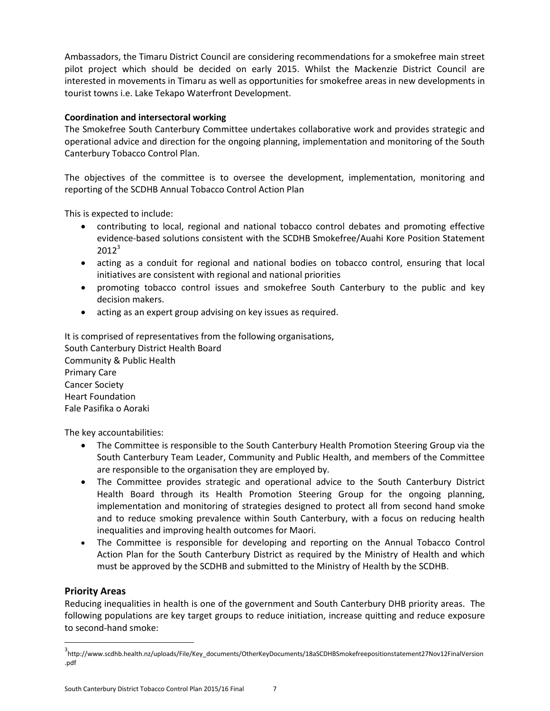Ambassadors, the Timaru District Council are considering recommendations for a smokefree main street pilot project which should be decided on early 2015. Whilst the Mackenzie District Council are interested in movements in Timaru as well as opportunities for smokefree areas in new developments in tourist towns i.e. Lake Tekapo Waterfront Development.

#### **Coordination and intersectoral working**

The Smokefree South Canterbury Committee undertakes collaborative work and provides strategic and operational advice and direction for the ongoing planning, implementation and monitoring of the South Canterbury Tobacco Control Plan.

The objectives of the committee is to oversee the development, implementation, monitoring and reporting of the SCDHB Annual Tobacco Control Action Plan

This is expected to include:

- contributing to local, regional and national tobacco control debates and promoting effective evidence-based solutions consistent with the SCDHB Smokefree/Auahi Kore Position Statement  $2012^3$
- acting as a conduit for regional and national bodies on tobacco control, ensuring that local initiatives are consistent with regional and national priorities
- promoting tobacco control issues and smokefree South Canterbury to the public and key decision makers.
- acting as an expert group advising on key issues as required.

It is comprised of representatives from the following organisations, South Canterbury District Health Board Community & Public Health Primary Care Cancer Society Heart Foundation Fale Pasifika o Aoraki

The key accountabilities:

- The Committee is responsible to the South Canterbury Health Promotion Steering Group via the South Canterbury Team Leader, Community and Public Health, and members of the Committee are responsible to the organisation they are employed by.
- The Committee provides strategic and operational advice to the South Canterbury District Health Board through its Health Promotion Steering Group for the ongoing planning, implementation and monitoring of strategies designed to protect all from second hand smoke and to reduce smoking prevalence within South Canterbury, with a focus on reducing health inequalities and improving health outcomes for Maori.
- The Committee is responsible for developing and reporting on the Annual Tobacco Control Action Plan for the South Canterbury District as required by the Ministry of Health and which must be approved by the SCDHB and submitted to the Ministry of Health by the SCDHB.

#### <span id="page-7-0"></span>**Priority Areas**

 $\overline{\phantom{a}}$ 

Reducing inequalities in health is one of the government and South Canterbury DHB priority areas. The following populations are key target groups to reduce initiation, increase quitting and reduce exposure to second-hand smoke:

<sup>3</sup> http://www.scdhb.health.nz/uploads/File/Key\_documents/OtherKeyDocuments/18aSCDHBSmokefreepositionstatement27Nov12FinalVersion .pdf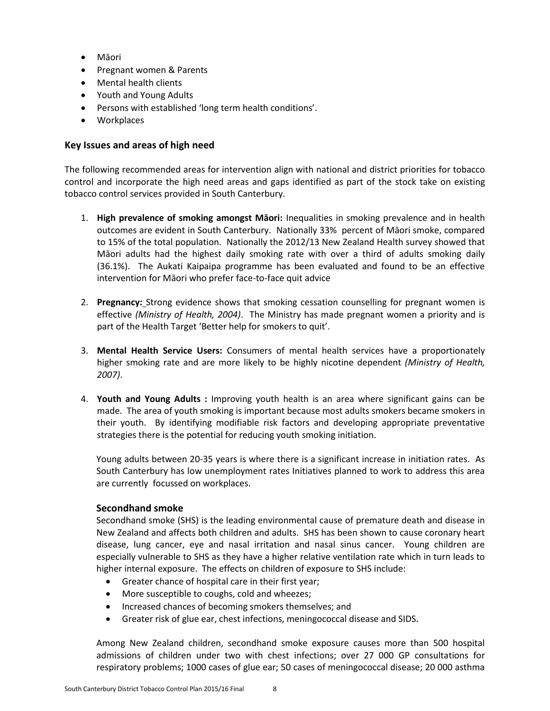- Māori
- Pregnant women & Parents
- Mental health clients
- Youth and Young Adults
- Persons with established 'long term health conditions'.
- Workplaces

#### <span id="page-8-0"></span>**Key Issues and areas of high need**

The following recommended areas for intervention align with national and district priorities for tobacco control and incorporate the high need areas and gaps identified as part of the stock take on existing tobacco control services provided in South Canterbury.

- 1. **High prevalence of smoking amongst Māori:** Inequalities in smoking prevalence and in health outcomes are evident in South Canterbury. Nationally 33% percent of Māori smoke, compared to 15% of the total population. Nationally the 2012/13 New Zealand Health survey showed that Māori adults had the highest daily smoking rate with over a third of adults smoking daily (36.1%). The Aukati Kaipaipa programme has been evaluated and found to be an effective intervention for Māori who prefer face-to-face quit advice
- 2. **Pregnancy:** Strong evidence shows that smoking cessation counselling for pregnant women is effective *(Ministry of Health, 2004)*. The Ministry has made pregnant women a priority and is part of the Health Target 'Better help for smokers to quit'.
- 3. **Mental Health Service Users:** Consumers of mental health services have a proportionately higher smoking rate and are more likely to be highly nicotine dependent *(Ministry of Health, 2007)*.
- 4. **Youth and Young Adults :** Improving youth health is an area where significant gains can be made. The area of youth smoking is important because most adults smokers became smokers in their youth. By identifying modifiable risk factors and developing appropriate preventative strategies there is the potential for reducing youth smoking initiation.

Young adults between 20-35 years is where there is a significant increase in initiation rates. As South Canterbury has low unemployment rates Initiatives planned to work to address this area are currently focussed on workplaces.

#### **Secondhand smoke**

Secondhand smoke (SHS) is the leading environmental cause of premature death and disease in New Zealand and affects both children and adults. SHS has been shown to cause coronary heart disease, lung cancer, eye and nasal irritation and nasal sinus cancer. Young children are especially vulnerable to SHS as they have a higher relative ventilation rate which in turn leads to higher internal exposure. The effects on children of exposure to SHS include:

- Greater chance of hospital care in their first year;
- More susceptible to coughs, cold and wheezes;
- Increased chances of becoming smokers themselves; and
- Greater risk of glue ear, chest infections, meningococcal disease and SIDS.

Among New Zealand children, secondhand smoke exposure causes more than 500 hospital admissions of children under two with chest infections; over 27 000 GP consultations for respiratory problems; 1000 cases of glue ear; 50 cases of meningococcal disease; 20 000 asthma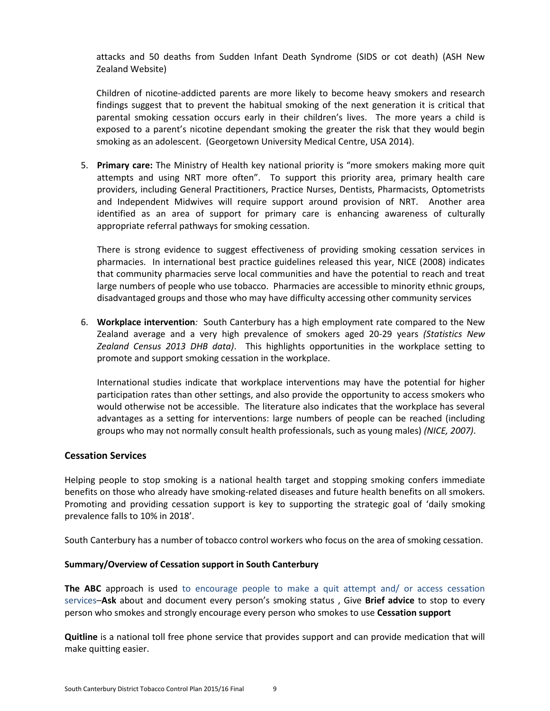attacks and 50 deaths from Sudden Infant Death Syndrome (SIDS or cot death) (ASH New Zealand Website)

Children of nicotine-addicted parents are more likely to become heavy smokers and research findings suggest that to prevent the habitual smoking of the next generation it is critical that parental smoking cessation occurs early in their children's lives. The more years a child is exposed to a parent's nicotine dependant smoking the greater the risk that they would begin smoking as an adolescent. (Georgetown University Medical Centre, USA 2014).

5. **Primary care:** The Ministry of Health key national priority is "more smokers making more quit attempts and using NRT more often". To support this priority area, primary health care providers, including General Practitioners, Practice Nurses, Dentists, Pharmacists, Optometrists and Independent Midwives will require support around provision of NRT. Another area identified as an area of support for primary care is enhancing awareness of culturally appropriate referral pathways for smoking cessation.

There is strong evidence to suggest effectiveness of providing smoking cessation services in pharmacies. In international best practice guidelines released this year, NICE (2008) indicates that community pharmacies serve local communities and have the potential to reach and treat large numbers of people who use tobacco. Pharmacies are accessible to minority ethnic groups, disadvantaged groups and those who may have difficulty accessing other community services

6. **Workplace intervention***:* South Canterbury has a high employment rate compared to the New Zealand average and a very high prevalence of smokers aged 20-29 years *(Statistics New Zealand Census 2013 DHB data)*. This highlights opportunities in the workplace setting to promote and support smoking cessation in the workplace.

International studies indicate that workplace interventions may have the potential for higher participation rates than other settings, and also provide the opportunity to access smokers who would otherwise not be accessible. The literature also indicates that the workplace has several advantages as a setting for interventions: large numbers of people can be reached (including groups who may not normally consult health professionals, such as young males) *(NICE, 2007)*.

#### <span id="page-9-0"></span>**Cessation Services**

Helping people to stop smoking is a national health target and stopping smoking confers immediate benefits on those who already have smoking-related diseases and future health benefits on all smokers. Promoting and providing cessation support is key to supporting the strategic goal of 'daily smoking prevalence falls to 10% in 2018'.

South Canterbury has a number of tobacco control workers who focus on the area of smoking cessation.

#### **Summary/Overview of Cessation support in South Canterbury**

**The ABC** approach is used to encourage people to make a quit attempt and/ or access cessation services–**Ask** about and document every person's smoking status , Give **Brief advice** to stop to every person who smokes and strongly encourage every person who smokes to use **Cessation support** 

**Quitline** is a national toll free phone service that provides support and can provide medication that will make quitting easier.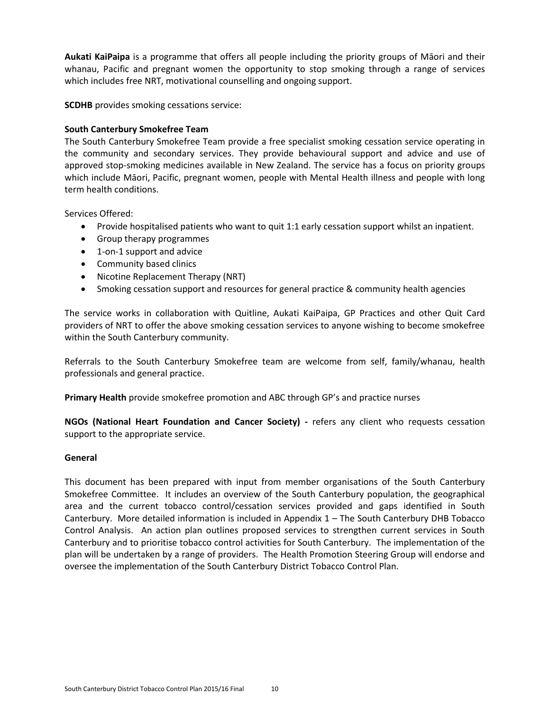**Aukati KaiPaipa** is a programme that offers all people including the priority groups of Māori and their whanau, Pacific and pregnant women the opportunity to stop smoking through a range of services which includes free NRT, motivational counselling and ongoing support.

**SCDHB** provides smoking cessations service:

#### **South Canterbury Smokefree Team**

The South Canterbury Smokefree Team provide a free specialist smoking cessation service operating in the community and secondary services. They provide behavioural support and advice and use of approved stop-smoking medicines available in New Zealand. The service has a focus on priority groups which include Māori, Pacific, pregnant women, people with Mental Health illness and people with long term health conditions.

Services Offered:

- Provide hospitalised patients who want to quit 1:1 early cessation support whilst an inpatient.
- Group therapy programmes
- 1-on-1 support and advice
- Community based clinics
- Nicotine Replacement Therapy (NRT)
- Smoking cessation support and resources for general practice & community health agencies

The service works in collaboration with Quitline, Aukati KaiPaipa, GP Practices and other Quit Card providers of NRT to offer the above smoking cessation services to anyone wishing to become smokefree within the South Canterbury community.

Referrals to the South Canterbury Smokefree team are welcome from self, family/whanau, health professionals and general practice.

**Primary Health** provide smokefree promotion and ABC through GP's and practice nurses

**NGOs (National Heart Foundation and Cancer Society) -** refers any client who requests cessation support to the appropriate service.

#### **General**

This document has been prepared with input from member organisations of the South Canterbury Smokefree Committee. It includes an overview of the South Canterbury population, the geographical area and the current tobacco control/cessation services provided and gaps identified in South Canterbury. More detailed information is included in Appendix 1 – The South Canterbury DHB Tobacco Control Analysis. An action plan outlines proposed services to strengthen current services in South Canterbury and to prioritise tobacco control activities for South Canterbury. The implementation of the plan will be undertaken by a range of providers. The Health Promotion Steering Group will endorse and oversee the implementation of the South Canterbury District Tobacco Control Plan.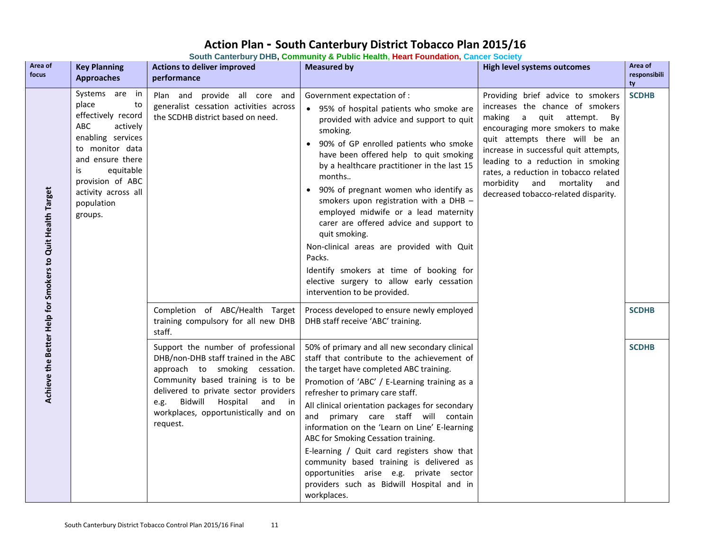## **Action Plan - South Canterbury District Tobacco Plan 2015/16**

**South Canterbury DHB, Community & Public Health, Heart Foundation, Cancer Society**

<span id="page-11-0"></span>

| Area of<br>focus                                          | <b>Key Planning</b><br><b>Approaches</b>                                                                                                                                                                                  | <b>Actions to deliver improved</b><br>performance                                                                                                                                                                                                                                       | <b>Measured by</b>                                                                                                                                                                                                                                                                                                                                                                                                                                                                                                                                                                                                                                  | <b>High level systems outcomes</b>                                                                                                                                                                                                                                                                                                                                                | Area of<br>responsibili<br>ty |
|-----------------------------------------------------------|---------------------------------------------------------------------------------------------------------------------------------------------------------------------------------------------------------------------------|-----------------------------------------------------------------------------------------------------------------------------------------------------------------------------------------------------------------------------------------------------------------------------------------|-----------------------------------------------------------------------------------------------------------------------------------------------------------------------------------------------------------------------------------------------------------------------------------------------------------------------------------------------------------------------------------------------------------------------------------------------------------------------------------------------------------------------------------------------------------------------------------------------------------------------------------------------------|-----------------------------------------------------------------------------------------------------------------------------------------------------------------------------------------------------------------------------------------------------------------------------------------------------------------------------------------------------------------------------------|-------------------------------|
| Achieve the Better Help for Smokers to Quit Health Target | Systems are in<br>place<br>to<br>effectively record<br>ABC<br>actively<br>enabling services<br>to monitor data<br>and ensure there<br>equitable<br>is<br>provision of ABC<br>activity across all<br>population<br>groups. | Plan and provide all core and<br>generalist cessation activities across<br>the SCDHB district based on need.                                                                                                                                                                            | Government expectation of :<br>• 95% of hospital patients who smoke are<br>provided with advice and support to quit<br>smoking.<br>90% of GP enrolled patients who smoke<br>have been offered help to quit smoking<br>by a healthcare practitioner in the last 15<br>months<br>• 90% of pregnant women who identify as<br>smokers upon registration with a DHB -<br>employed midwife or a lead maternity<br>carer are offered advice and support to<br>quit smoking.<br>Non-clinical areas are provided with Quit<br>Packs.<br>Identify smokers at time of booking for<br>elective surgery to allow early cessation<br>intervention to be provided. | Providing brief advice to smokers<br>increases the chance of smokers<br>making a quit attempt.<br>By<br>encouraging more smokers to make<br>quit attempts there will be an<br>increase in successful quit attempts,<br>leading to a reduction in smoking<br>rates, a reduction in tobacco related<br>mortality<br>morbidity<br>and<br>and<br>decreased tobacco-related disparity. | <b>SCDHB</b>                  |
|                                                           |                                                                                                                                                                                                                           | Completion of ABC/Health Target<br>training compulsory for all new DHB<br>staff.                                                                                                                                                                                                        | Process developed to ensure newly employed<br>DHB staff receive 'ABC' training.                                                                                                                                                                                                                                                                                                                                                                                                                                                                                                                                                                     |                                                                                                                                                                                                                                                                                                                                                                                   | <b>SCDHB</b>                  |
|                                                           |                                                                                                                                                                                                                           | Support the number of professional<br>DHB/non-DHB staff trained in the ABC<br>approach to smoking cessation.<br>Community based training is to be<br>delivered to private sector providers<br>Bidwill Hospital<br>e.g.<br>and<br>in<br>workplaces, opportunistically and on<br>request. | 50% of primary and all new secondary clinical<br>staff that contribute to the achievement of<br>the target have completed ABC training.<br>Promotion of 'ABC' / E-Learning training as a<br>refresher to primary care staff.<br>All clinical orientation packages for secondary<br>and primary care staff will contain<br>information on the 'Learn on Line' E-learning<br>ABC for Smoking Cessation training.<br>E-learning / Quit card registers show that<br>community based training is delivered as<br>opportunities arise e.g. private sector<br>providers such as Bidwill Hospital and in<br>workplaces.                                     |                                                                                                                                                                                                                                                                                                                                                                                   | <b>SCDHB</b>                  |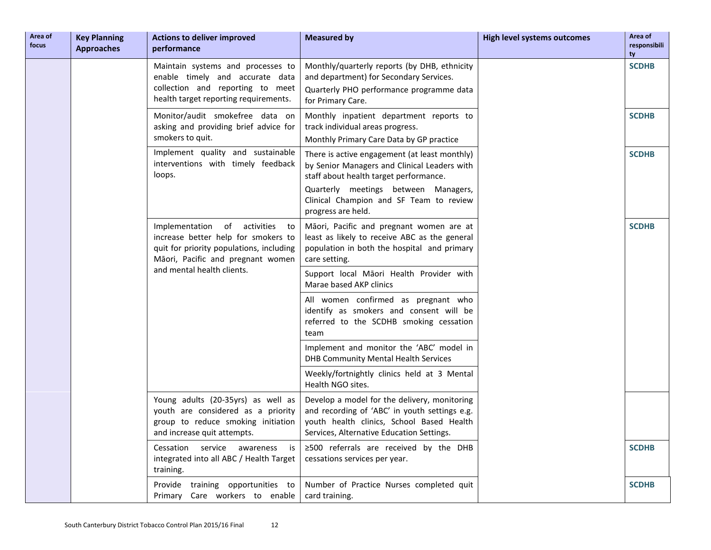| Area of<br>focus | <b>Key Planning</b><br><b>Approaches</b> | <b>Actions to deliver improved</b><br>performance                                                                                                       | <b>Measured by</b>                                                                                                                                                                      | <b>High level systems outcomes</b> | Area of<br>responsibili<br>ty |
|------------------|------------------------------------------|---------------------------------------------------------------------------------------------------------------------------------------------------------|-----------------------------------------------------------------------------------------------------------------------------------------------------------------------------------------|------------------------------------|-------------------------------|
|                  |                                          | Maintain systems and processes to<br>enable timely and accurate data<br>collection and reporting to meet<br>health target reporting requirements.       | Monthly/quarterly reports (by DHB, ethnicity<br>and department) for Secondary Services.<br>Quarterly PHO performance programme data<br>for Primary Care.                                |                                    | <b>SCDHB</b>                  |
|                  |                                          | Monitor/audit smokefree data on<br>asking and providing brief advice for<br>smokers to quit.                                                            | Monthly inpatient department reports to<br>track individual areas progress.<br>Monthly Primary Care Data by GP practice                                                                 |                                    | <b>SCDHB</b>                  |
|                  |                                          | Implement quality and sustainable<br>interventions with timely feedback<br>loops.                                                                       | There is active engagement (at least monthly)<br>by Senior Managers and Clinical Leaders with<br>staff about health target performance.                                                 |                                    | <b>SCDHB</b>                  |
|                  |                                          |                                                                                                                                                         | Quarterly meetings between Managers,<br>Clinical Champion and SF Team to review<br>progress are held.                                                                                   |                                    |                               |
|                  |                                          | Implementation of activities to<br>increase better help for smokers to<br>quit for priority populations, including<br>Māori, Pacific and pregnant women | Māori, Pacific and pregnant women are at<br>least as likely to receive ABC as the general<br>population in both the hospital and primary<br>care setting.                               |                                    | <b>SCDHB</b>                  |
|                  |                                          | and mental health clients.                                                                                                                              | Support local Māori Health Provider with<br>Marae based AKP clinics                                                                                                                     |                                    |                               |
|                  |                                          |                                                                                                                                                         | All women confirmed as pregnant who<br>identify as smokers and consent will be<br>referred to the SCDHB smoking cessation<br>team                                                       |                                    |                               |
|                  |                                          |                                                                                                                                                         | Implement and monitor the 'ABC' model in<br>DHB Community Mental Health Services                                                                                                        |                                    |                               |
|                  |                                          |                                                                                                                                                         | Weekly/fortnightly clinics held at 3 Mental<br>Health NGO sites.                                                                                                                        |                                    |                               |
|                  |                                          | Young adults (20-35yrs) as well as<br>youth are considered as a priority<br>group to reduce smoking initiation<br>and increase quit attempts.           | Develop a model for the delivery, monitoring<br>and recording of 'ABC' in youth settings e.g.<br>youth health clinics, School Based Health<br>Services, Alternative Education Settings. |                                    |                               |
|                  |                                          | Cessation service awareness is<br>integrated into all ABC / Health Target<br>training.                                                                  | $\geq$ 500 referrals are received by the DHB<br>cessations services per year.                                                                                                           |                                    | <b>SCDHB</b>                  |
|                  |                                          | Provide training opportunities to<br>Primary Care workers to enable                                                                                     | Number of Practice Nurses completed quit<br>card training.                                                                                                                              |                                    | <b>SCDHB</b>                  |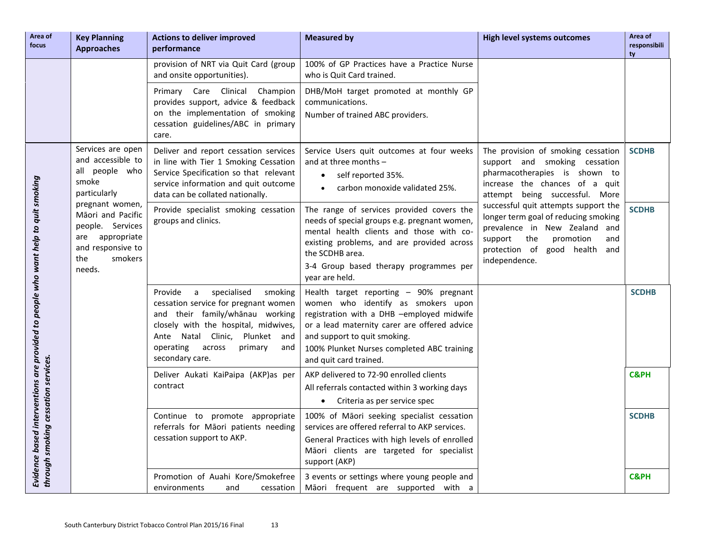| Area of<br>focus                                                                  | <b>Key Planning</b><br><b>Approaches</b>                                                                                        | <b>Actions to deliver improved</b><br>performance                                                                                                                                                                                                       | <b>Measured by</b>                                                                                                                                                                                                                                                                | <b>High level systems outcomes</b>                                                                                                                                                                    | Area of<br>responsibili<br>tv |
|-----------------------------------------------------------------------------------|---------------------------------------------------------------------------------------------------------------------------------|---------------------------------------------------------------------------------------------------------------------------------------------------------------------------------------------------------------------------------------------------------|-----------------------------------------------------------------------------------------------------------------------------------------------------------------------------------------------------------------------------------------------------------------------------------|-------------------------------------------------------------------------------------------------------------------------------------------------------------------------------------------------------|-------------------------------|
|                                                                                   |                                                                                                                                 | provision of NRT via Quit Card (group<br>and onsite opportunities).                                                                                                                                                                                     | 100% of GP Practices have a Practice Nurse<br>who is Quit Card trained.                                                                                                                                                                                                           |                                                                                                                                                                                                       |                               |
|                                                                                   |                                                                                                                                 | Primary Care Clinical Champion<br>provides support, advice & feedback<br>on the implementation of smoking<br>cessation guidelines/ABC in primary<br>care.                                                                                               | DHB/MoH target promoted at monthly GP<br>communications.<br>Number of trained ABC providers.                                                                                                                                                                                      |                                                                                                                                                                                                       |                               |
|                                                                                   | Services are open<br>and accessible to<br>all people who<br>smoke<br>particularly                                               | Deliver and report cessation services<br>in line with Tier 1 Smoking Cessation<br>Service Specification so that relevant<br>service information and quit outcome<br>data can be collated nationally.                                                    | Service Users quit outcomes at four weeks<br>and at three months $-$<br>self reported 35%.<br>$\bullet$<br>carbon monoxide validated 25%.                                                                                                                                         | The provision of smoking cessation<br>support and smoking cessation<br>pharmacotherapies is shown to<br>increase the chances of a quit<br>attempt being successful. More                              | <b>SCDHB</b>                  |
| Evidence based interventions are provided to people who want help to quit smoking | pregnant women,<br>Māori and Pacific<br>people. Services<br>appropriate<br>are<br>and responsive to<br>the<br>smokers<br>needs. | Provide specialist smoking cessation<br>groups and clinics.                                                                                                                                                                                             | The range of services provided covers the<br>needs of special groups e.g. pregnant women,<br>mental health clients and those with co-<br>existing problems, and are provided across<br>the SCDHB area.<br>3-4 Group based therapy programmes per<br>year are held.                | successful quit attempts support the<br>longer term goal of reducing smoking<br>prevalence in New Zealand and<br>the<br>support<br>promotion<br>and<br>protection of good health and<br>independence. | <b>SCDHB</b>                  |
|                                                                                   |                                                                                                                                 | specialised<br>Provide<br>a<br>smoking<br>cessation service for pregnant women<br>and their family/whanau working<br>closely with the hospital, midwives,<br>Ante Natal Clinic, Plunket and<br>operating<br>across<br>primary<br>and<br>secondary care. | Health target reporting - 90% pregnant<br>women who identify as smokers upon<br>registration with a DHB -employed midwife<br>or a lead maternity carer are offered advice<br>and support to quit smoking.<br>100% Plunket Nurses completed ABC training<br>and quit card trained. |                                                                                                                                                                                                       | <b>SCDHB</b>                  |
|                                                                                   |                                                                                                                                 | Deliver Aukati KaiPaipa (AKP)as per<br>contract                                                                                                                                                                                                         | AKP delivered to 72-90 enrolled clients<br>All referrals contacted within 3 working days<br>Criteria as per service spec<br>$\bullet$                                                                                                                                             |                                                                                                                                                                                                       | <b>C&amp;PH</b>               |
| through smoking cessation services.                                               |                                                                                                                                 | Continue to promote appropriate<br>referrals for Māori patients needing<br>cessation support to AKP.                                                                                                                                                    | 100% of Māori seeking specialist cessation<br>services are offered referral to AKP services.<br>General Practices with high levels of enrolled<br>Māori clients are targeted for specialist<br>support (AKP)                                                                      |                                                                                                                                                                                                       | <b>SCDHB</b>                  |
|                                                                                   |                                                                                                                                 | Promotion of Auahi Kore/Smokefree<br>environments<br>and<br>cessation                                                                                                                                                                                   | 3 events or settings where young people and<br>Māori frequent are supported with a                                                                                                                                                                                                |                                                                                                                                                                                                       | <b>C&amp;PH</b>               |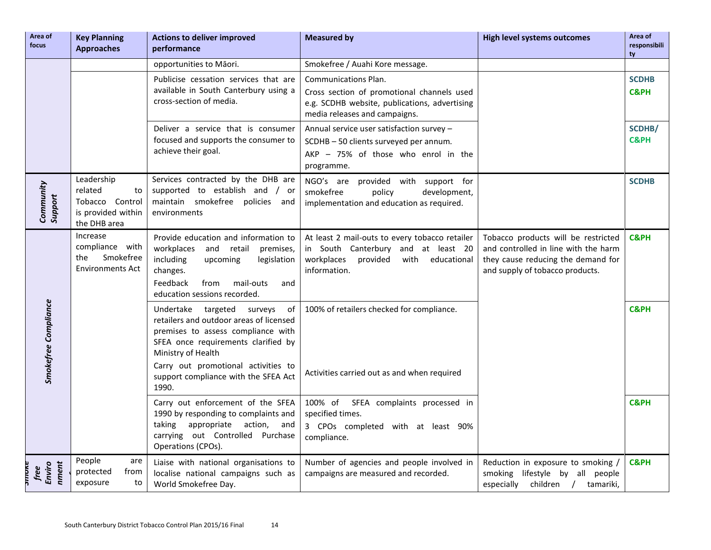| Area of<br>focus            | <b>Key Planning</b><br><b>Approaches</b>                                             | <b>Actions to deliver improved</b><br>performance                                                                                                                                                                                                                            | <b>Measured by</b>                                                                                                                                   | <b>High level systems outcomes</b>                                                                                                                   | Area of<br>responsibili<br>ty   |
|-----------------------------|--------------------------------------------------------------------------------------|------------------------------------------------------------------------------------------------------------------------------------------------------------------------------------------------------------------------------------------------------------------------------|------------------------------------------------------------------------------------------------------------------------------------------------------|------------------------------------------------------------------------------------------------------------------------------------------------------|---------------------------------|
|                             |                                                                                      | opportunities to Māori.                                                                                                                                                                                                                                                      | Smokefree / Auahi Kore message.                                                                                                                      |                                                                                                                                                      |                                 |
|                             |                                                                                      | Publicise cessation services that are<br>available in South Canterbury using a<br>cross-section of media.                                                                                                                                                                    | Communications Plan.<br>Cross section of promotional channels used<br>e.g. SCDHB website, publications, advertising<br>media releases and campaigns. |                                                                                                                                                      | <b>SCDHB</b><br><b>C&amp;PH</b> |
|                             |                                                                                      | Deliver a service that is consumer<br>focused and supports the consumer to<br>achieve their goal.                                                                                                                                                                            | Annual service user satisfaction survey -<br>SCDHB - 50 clients surveyed per annum.<br>AKP - 75% of those who enrol in the<br>programme.             |                                                                                                                                                      | SCDHB/<br><b>C&amp;PH</b>       |
| Community<br>Support        | Leadership<br>related<br>to<br>Tobacco Control<br>is provided within<br>the DHB area | Services contracted by the DHB are<br>supported to establish and / or<br>maintain smokefree policies and<br>environments                                                                                                                                                     | NGO's are provided with support for<br>smokefree<br>development,<br>policy<br>implementation and education as required.                              |                                                                                                                                                      | <b>SCDHB</b>                    |
|                             | Increase<br>compliance with<br>Smokefree<br>the<br><b>Environments Act</b>           | Provide education and information to<br>workplaces<br>and<br>retail<br>premises,<br>including<br>legislation<br>upcoming<br>changes.<br>Feedback<br>from<br>mail-outs<br>and<br>education sessions recorded.                                                                 | At least 2 mail-outs to every tobacco retailer<br>in South Canterbury and at least 20<br>workplaces<br>provided<br>with educational<br>information.  | Tobacco products will be restricted<br>and controlled in line with the harm<br>they cause reducing the demand for<br>and supply of tobacco products. | <b>C&amp;PH</b>                 |
| <b>Smokefree Compliance</b> |                                                                                      | targeted<br>Undertake<br>surveys<br>of<br>retailers and outdoor areas of licensed<br>premises to assess compliance with<br>SFEA once requirements clarified by<br>Ministry of Health<br>Carry out promotional activities to<br>support compliance with the SFEA Act<br>1990. | 100% of retailers checked for compliance.<br>Activities carried out as and when required                                                             |                                                                                                                                                      | <b>C&amp;PH</b>                 |
|                             |                                                                                      | Carry out enforcement of the SFEA<br>1990 by responding to complaints and<br>taking appropriate action, and<br>carrying out Controlled Purchase<br>Operations (CPOs).                                                                                                        | 100% of SFEA complaints processed in<br>specified times.<br>3 CPOs completed with at least 90%<br>compliance.                                        |                                                                                                                                                      | <b>C&amp;PH</b>                 |
| nment<br>Enviro<br>free     | People<br>are<br>protected<br>from<br>exposure<br>to                                 | Liaise with national organisations to<br>localise national campaigns such as<br>World Smokefree Day.                                                                                                                                                                         | Number of agencies and people involved in<br>campaigns are measured and recorded.                                                                    | Reduction in exposure to smoking /<br>smoking lifestyle by all people<br>children / tamariki,<br>especially                                          | <b>C&amp;PH</b>                 |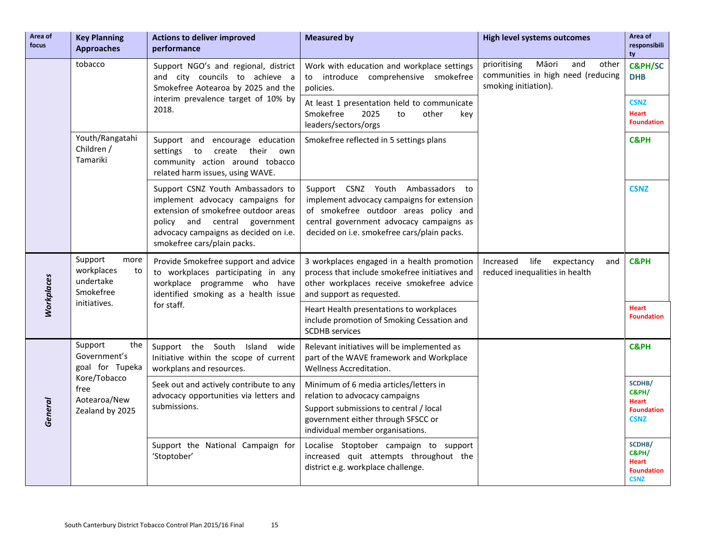| Area of<br>focus  | <b>Key Planning</b><br><b>Approaches</b>                      | <b>Actions to deliver improved</b><br>performance                                                                                                                                                                         | <b>Measured by</b>                                                                                                                                                                                                     | <b>High level systems outcomes</b>                                                                  | Area of<br>responsibili<br>ty                                       |
|-------------------|---------------------------------------------------------------|---------------------------------------------------------------------------------------------------------------------------------------------------------------------------------------------------------------------------|------------------------------------------------------------------------------------------------------------------------------------------------------------------------------------------------------------------------|-----------------------------------------------------------------------------------------------------|---------------------------------------------------------------------|
|                   | tobacco                                                       | Support NGO's and regional, district<br>and city councils to achieve a<br>Smokefree Aotearoa by 2025 and the                                                                                                              | Work with education and workplace settings<br>to introduce comprehensive smokefree<br>policies.                                                                                                                        | prioritising<br>Māori<br>and<br>other<br>communities in high need (reducing<br>smoking initiation). | <b>C&amp;PH/SC</b><br><b>DHB</b>                                    |
|                   |                                                               | interim prevalence target of 10% by<br>2018.                                                                                                                                                                              | At least 1 presentation held to communicate<br>2025<br>Smokefree<br>to<br>other<br>key<br>leaders/sectors/orgs                                                                                                         |                                                                                                     | <b>CSNZ</b><br><b>Heart</b><br><b>Foundation</b>                    |
|                   | Youth/Rangatahi<br>Children /<br>Tamariki                     | Support and encourage education<br>settings to create their own<br>community action around tobacco<br>related harm issues, using WAVE.                                                                                    | Smokefree reflected in 5 settings plans                                                                                                                                                                                |                                                                                                     | <b>C&amp;PH</b>                                                     |
|                   |                                                               | Support CSNZ Youth Ambassadors to<br>implement advocacy campaigns for<br>extension of smokefree outdoor areas<br>policy and central<br>government<br>advocacy campaigns as decided on i.e.<br>smokefree cars/plain packs. | Support CSNZ Youth Ambassadors<br>to<br>implement advocacy campaigns for extension<br>of smokefree outdoor areas policy and<br>central government advocacy campaigns as<br>decided on i.e. smokefree cars/plain packs. |                                                                                                     | <b>CSNZ</b>                                                         |
| <b>Workplaces</b> | Support<br>more<br>workplaces<br>to<br>undertake<br>Smokefree | Provide Smokefree support and advice<br>to workplaces participating in any<br>workplace programme who have<br>identified smoking as a health issue                                                                        | 3 workplaces engaged in a health promotion<br>process that include smokefree initiatives and<br>other workplaces receive smokefree advice<br>and support as requested.                                                 | Increased<br>life<br>expectancy<br>and<br>reduced inequalities in health                            | <b>C&amp;PH</b>                                                     |
|                   | initiatives.                                                  | for staff.                                                                                                                                                                                                                | Heart Health presentations to workplaces<br>include promotion of Smoking Cessation and<br><b>SCDHB</b> services                                                                                                        |                                                                                                     | <b>Heart</b><br><b>Foundation</b>                                   |
|                   | the<br>Support<br>Government's<br>goal for Tupeka             | Support the South Island wide<br>Initiative within the scope of current<br>workplans and resources.                                                                                                                       | Relevant initiatives will be implemented as<br>part of the WAVE framework and Workplace<br>Wellness Accreditation.                                                                                                     |                                                                                                     | <b>C&amp;PH</b>                                                     |
| General           | Kore/Tobacco<br>free<br>Aotearoa/New<br>Zealand by 2025       | Seek out and actively contribute to any<br>advocacy opportunities via letters and<br>submissions.                                                                                                                         | Minimum of 6 media articles/letters in<br>relation to advocacy campaigns<br>Support submissions to central / local<br>government either through SFSCC or<br>individual member organisations.                           |                                                                                                     | SCDHB/<br>C&PH/<br><b>Heart</b><br><b>Foundation</b><br><b>CSNZ</b> |
|                   |                                                               | Support the National Campaign for<br>'Stoptober'                                                                                                                                                                          | Localise Stoptober campaign to support<br>increased quit attempts throughout the<br>district e.g. workplace challenge.                                                                                                 |                                                                                                     | SCDHB/<br>C&PH/<br>Heart<br><b>Foundation</b><br><b>CSNZ</b>        |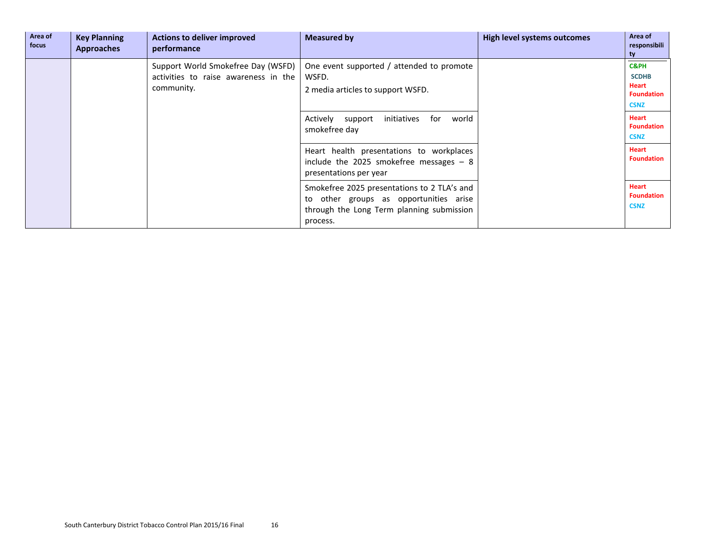| Area of<br>focus | <b>Key Planning</b><br><b>Approaches</b> | <b>Actions to deliver improved</b><br>performance                                                                                              | <b>Measured by</b>                                                                                             | High level systems outcomes                      | Area of<br>responsibili<br>ty                                                       |
|------------------|------------------------------------------|------------------------------------------------------------------------------------------------------------------------------------------------|----------------------------------------------------------------------------------------------------------------|--------------------------------------------------|-------------------------------------------------------------------------------------|
|                  |                                          | Support World Smokefree Day (WSFD)<br>activities to raise awareness in the<br>community.                                                       | One event supported / attended to promote<br>WSFD.<br>2 media articles to support WSFD.                        |                                                  | <b>C&amp;PH</b><br><b>SCDHB</b><br><b>Heart</b><br><b>Foundation</b><br><b>CSNZ</b> |
|                  |                                          |                                                                                                                                                | initiatives<br>for<br>world<br>Actively<br>support<br>smokefree day                                            |                                                  | <b>Heart</b><br><b>Foundation</b><br><b>CSNZ</b>                                    |
|                  |                                          |                                                                                                                                                | Heart health presentations to workplaces<br>include the 2025 smokefree messages $-8$<br>presentations per year |                                                  | <b>Heart</b><br><b>Foundation</b>                                                   |
|                  |                                          | Smokefree 2025 presentations to 2 TLA's and<br>to other groups as opportunities arise<br>through the Long Term planning submission<br>process. |                                                                                                                | <b>Heart</b><br><b>Foundation</b><br><b>CSNZ</b> |                                                                                     |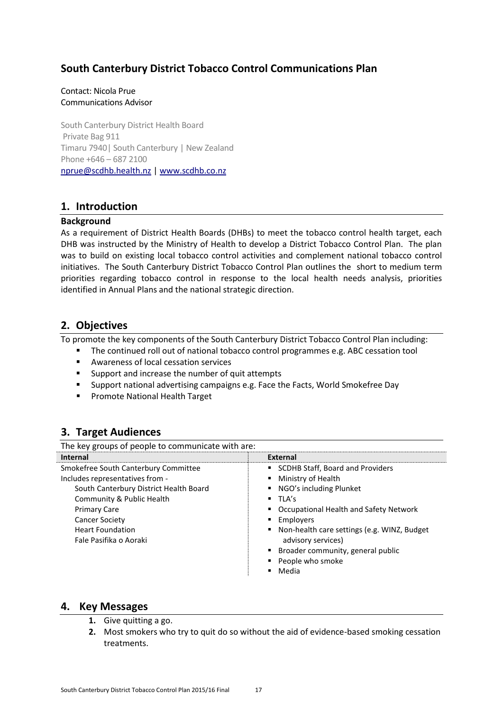## <span id="page-17-0"></span>**South Canterbury District Tobacco Control Communications Plan**

#### Contact: Nicola Prue Communications Advisor

South Canterbury District Health Board Private Bag 911 Timaru 7940| South Canterbury | New Zealand Phone +646 – 687 2100 [nprue@scdhb.health.nz](mailto:nprue@scdhb.health.nz) | [www.scdhb.co.nz](http://www.scdhb.co.nz/)

## **1. Introduction**

#### **Background**

As a requirement of District Health Boards (DHBs) to meet the tobacco control health target, each DHB was instructed by the Ministry of Health to develop a District Tobacco Control Plan. The plan was to build on existing local tobacco control activities and complement national tobacco control initiatives. The South Canterbury District Tobacco Control Plan outlines the short to medium term priorities regarding tobacco control in response to the local health needs analysis, priorities identified in Annual Plans and the national strategic direction.

## **2. Objectives**

To promote the key components of the South Canterbury District Tobacco Control Plan including:

- The continued roll out of national tobacco control programmes e.g. ABC cessation tool
- Awareness of local cessation services
- **Support and increase the number of quit attempts**
- Support national advertising campaigns e.g. Face the Facts, World Smokefree Day
- **Promote National Health Target**

## **3. Target Audiences**

| The key groups of people to communicate with are: |                                               |  |
|---------------------------------------------------|-----------------------------------------------|--|
| <b>Internal</b>                                   | <b>External</b>                               |  |
| Smokefree South Canterbury Committee              | SCDHB Staff, Board and Providers              |  |
| Includes representatives from -                   | Ministry of Health                            |  |
| South Canterbury District Health Board            | NGO's including Plunket                       |  |
| Community & Public Health                         | $\blacksquare$ TLA's                          |  |
| <b>Primary Care</b>                               | Occupational Health and Safety Network        |  |
| <b>Cancer Society</b>                             | Employers                                     |  |
| <b>Heart Foundation</b>                           | • Non-health care settings (e.g. WINZ, Budget |  |
| Fale Pasifika o Aoraki                            | advisory services)                            |  |
|                                                   | ■ Broader community, general public           |  |
|                                                   | People who smoke                              |  |
|                                                   | Media                                         |  |

### **4. Key Messages**

- **1.** Give quitting a go.
- **2.** Most smokers who try to quit do so without the aid of evidence-based smoking cessation treatments.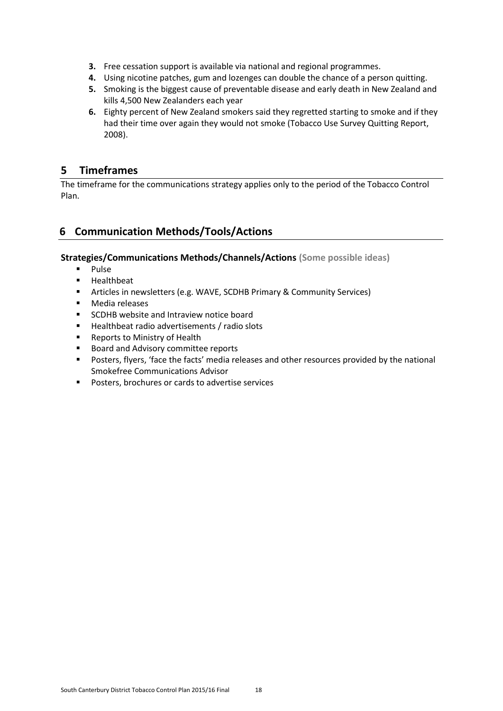- **3.** Free cessation support is available via national and regional programmes.
- **4.** Using nicotine patches, gum and lozenges can double the chance of a person quitting.
- **5.** Smoking is the biggest cause of preventable disease and early death in New Zealand and kills 4,500 New Zealanders each year
- **6.** Eighty percent of New Zealand smokers said they regretted starting to smoke and if they had their time over again they would not smoke (Tobacco Use Survey Quitting Report, 2008).

## **5 Timeframes**

The timeframe for the communications strategy applies only to the period of the Tobacco Control Plan.

## **6 Communication Methods/Tools/Actions**

#### **Strategies/Communications Methods/Channels/Actions (Some possible ideas)**

- **Pulse**
- **Healthbeat**
- Articles in newsletters (e.g. WAVE, SCDHB Primary & Community Services)
- **Nedia releases**
- **SCDHB** website and Intraview notice board
- Healthbeat radio advertisements / radio slots
- **Reports to Ministry of Health**
- **Board and Advisory committee reports**
- Posters, flyers, 'face the facts' media releases and other resources provided by the national Smokefree Communications Advisor
- **Posters, brochures or cards to advertise services**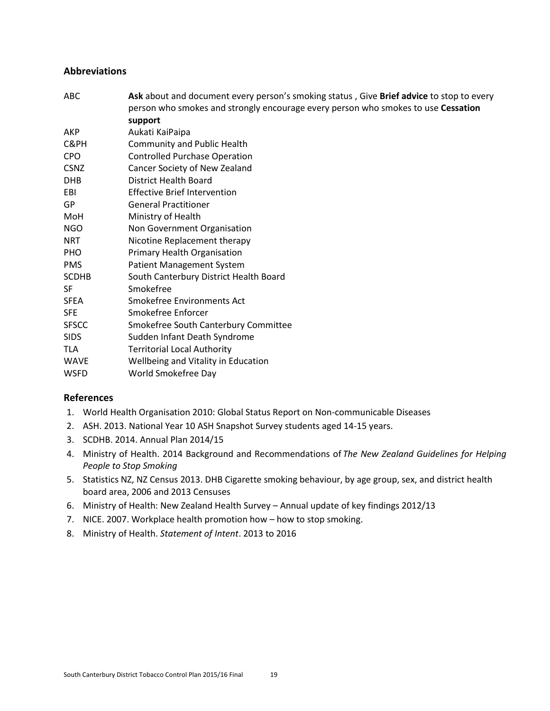#### <span id="page-19-0"></span>**Abbreviations**

| ABC          | Ask about and document every person's smoking status, Give Brief advice to stop to every |
|--------------|------------------------------------------------------------------------------------------|
|              | person who smokes and strongly encourage every person who smokes to use Cessation        |
|              | support                                                                                  |
| AKP          | Aukati KaiPaipa                                                                          |
| C&PH         | <b>Community and Public Health</b>                                                       |
| <b>CPO</b>   | <b>Controlled Purchase Operation</b>                                                     |
| <b>CSNZ</b>  | Cancer Society of New Zealand                                                            |
| <b>DHB</b>   | <b>District Health Board</b>                                                             |
| EBI          | <b>Effective Brief Intervention</b>                                                      |
| GP           | <b>General Practitioner</b>                                                              |
| MoH          | Ministry of Health                                                                       |
| <b>NGO</b>   | Non Government Organisation                                                              |
| <b>NRT</b>   | Nicotine Replacement therapy                                                             |
| <b>PHO</b>   | Primary Health Organisation                                                              |
| <b>PMS</b>   | <b>Patient Management System</b>                                                         |
| <b>SCDHB</b> | South Canterbury District Health Board                                                   |
| SF           | Smokefree                                                                                |
| <b>SFEA</b>  | Smokefree Environments Act                                                               |
| <b>SFE</b>   | Smokefree Enforcer                                                                       |
| <b>SFSCC</b> | Smokefree South Canterbury Committee                                                     |
| <b>SIDS</b>  | Sudden Infant Death Syndrome                                                             |
| <b>TLA</b>   | <b>Territorial Local Authority</b>                                                       |
| <b>WAVE</b>  | Wellbeing and Vitality in Education                                                      |
| <b>WSFD</b>  | World Smokefree Day                                                                      |

#### <span id="page-19-1"></span>**References**

- 1. World Health Organisation 2010: Global Status Report on Non-communicable Diseases
- 2. ASH. 2013. National Year 10 ASH Snapshot Survey students aged 14-15 years.
- 3. SCDHB. 2014. Annual Plan 2014/15
- 4. Ministry of Health. 2014 Background and Recommendations of *The New Zealand Guidelines for Helping People to Stop Smoking*
- 5. Statistics NZ, NZ Census 2013. DHB Cigarette smoking behaviour, by age group, sex, and district health board area, 2006 and 2013 Censuses
- 6. Ministry of Health: New Zealand Health Survey Annual update of key findings 2012/13
- 7. NICE. 2007. Workplace health promotion how how to stop smoking.
- 8. Ministry of Health. *Statement of Intent*. 2013 to 2016